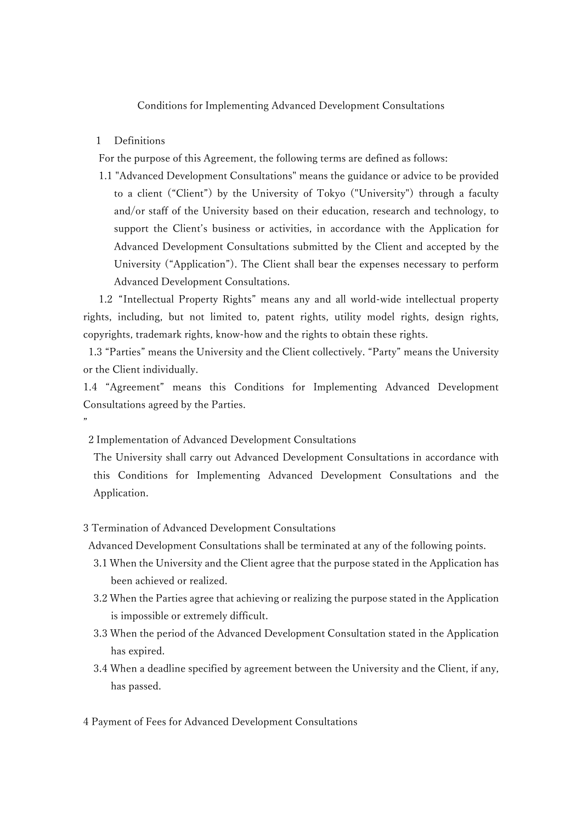## Conditions for Implementing Advanced Development Consultations

## 1 Definitions

"

For the purpose of this Agreement, the following terms are defined as follows:

1.1 "Advanced Development Consultations" means the guidance or advice to be provided to a client ("Client") by the University of Tokyo ("University") through a faculty and/or staff of the University based on their education, research and technology, to support the Client's business or activities, in accordance with the Application for Advanced Development Consultations submitted by the Client and accepted by the University ("Application"). The Client shall bear the expenses necessary to perform Advanced Development Consultations.

1.2 "Intellectual Property Rights" means any and all world-wide intellectual property rights, including, but not limited to, patent rights, utility model rights, design rights, copyrights, trademark rights, know-how and the rights to obtain these rights.

1.3 "Parties" means the University and the Client collectively. "Party" means the University or the Client individually.

1.4 "Agreement" means this Conditions for Implementing Advanced Development Consultations agreed by the Parties.

2 Implementation of Advanced Development Consultations

The University shall carry out Advanced Development Consultations in accordance with this Conditions for Implementing Advanced Development Consultations and the Application.

#### 3 Termination of Advanced Development Consultations

Advanced Development Consultations shall be terminated at any of the following points.

- 3.1 When the University and the Client agree that the purpose stated in the Application has been achieved or realized.
- 3.2 When the Parties agree that achieving or realizing the purpose stated in the Application is impossible or extremely difficult.
- 3.3 When the period of the Advanced Development Consultation stated in the Application has expired.
- 3.4 When a deadline specified by agreement between the University and the Client, if any, has passed.

4 Payment of Fees for Advanced Development Consultations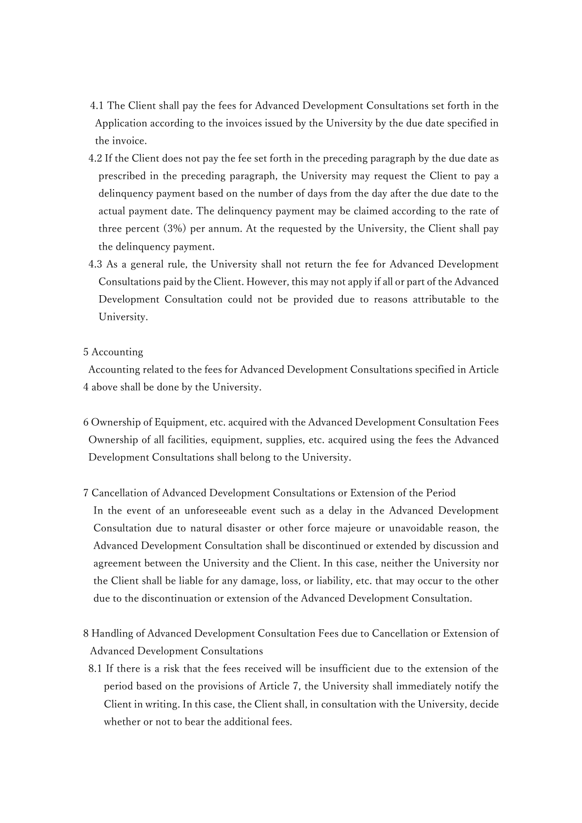- 4.1 The Client shall pay the fees for Advanced Development Consultations set forth in the Application according to the invoices issued by the University by the due date specified in the invoice.
- 4.2 If the Client does not pay the fee set forth in the preceding paragraph by the due date as prescribed in the preceding paragraph, the University may request the Client to pay a delinquency payment based on the number of days from the day after the due date to the actual payment date. The delinquency payment may be claimed according to the rate of three percent (3%) per annum. At the requested by the University, the Client shall pay the delinquency payment.
- 4.3 As a general rule, the University shall not return the fee for Advanced Development Consultations paid by the Client. However, this may not apply if all or part of the Advanced Development Consultation could not be provided due to reasons attributable to the University.
- 5 Accounting

Accounting related to the fees for Advanced Development Consultations specified in Article 4 above shall be done by the University.

- 6 Ownership of Equipment, etc. acquired with the Advanced Development Consultation Fees Ownership of all facilities, equipment, supplies, etc. acquired using the fees the Advanced Development Consultations shall belong to the University.
- 7 Cancellation of Advanced Development Consultations or Extension of the Period In the event of an unforeseeable event such as a delay in the Advanced Development Consultation due to natural disaster or other force majeure or unavoidable reason, the Advanced Development Consultation shall be discontinued or extended by discussion and agreement between the University and the Client. In this case, neither the University nor the Client shall be liable for any damage, loss, or liability, etc. that may occur to the other due to the discontinuation or extension of the Advanced Development Consultation.
- 8 Handling of Advanced Development Consultation Fees due to Cancellation or Extension of Advanced Development Consultations
- 8.1 If there is a risk that the fees received will be insufficient due to the extension of the period based on the provisions of Article 7, the University shall immediately notify the Client in writing. In this case, the Client shall, in consultation with the University, decide whether or not to bear the additional fees.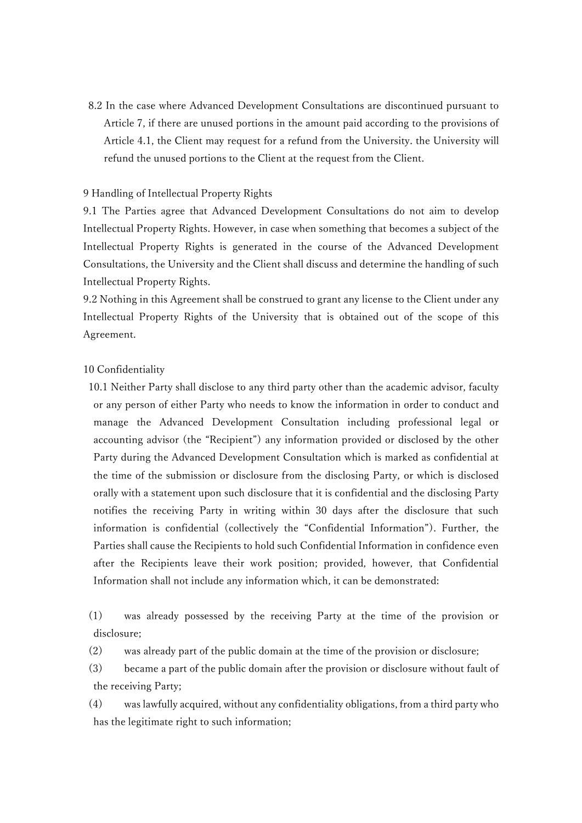8.2 In the case where Advanced Development Consultations are discontinued pursuant to Article 7, if there are unused portions in the amount paid according to the provisions of Article 4.1, the Client may request for a refund from the University. the University will refund the unused portions to the Client at the request from the Client.

## 9 Handling of Intellectual Property Rights

9.1 The Parties agree that Advanced Development Consultations do not aim to develop Intellectual Property Rights. However, in case when something that becomes a subject of the Intellectual Property Rights is generated in the course of the Advanced Development Consultations, the University and the Client shall discuss and determine the handling of such Intellectual Property Rights.

9.2 Nothing in this Agreement shall be construed to grant any license to the Client under any Intellectual Property Rights of the University that is obtained out of the scope of this Agreement.

#### 10 Confidentiality

10.1 Neither Party shall disclose to any third party other than the academic advisor, faculty or any person of either Party who needs to know the information in order to conduct and manage the Advanced Development Consultation including professional legal or accounting advisor (the "Recipient") any information provided or disclosed by the other Party during the Advanced Development Consultation which is marked as confidential at the time of the submission or disclosure from the disclosing Party, or which is disclosed orally with a statement upon such disclosure that it is confidential and the disclosing Party notifies the receiving Party in writing within 30 days after the disclosure that such information is confidential (collectively the "Confidential Information"). Further, the Parties shall cause the Recipients to hold such Confidential Information in confidence even after the Recipients leave their work position; provided, however, that Confidential Information shall not include any information which, it can be demonstrated:

(1) was already possessed by the receiving Party at the time of the provision or disclosure;

(2) was already part of the public domain at the time of the provision or disclosure;

(3) became a part of the public domain after the provision or disclosure without fault of the receiving Party;

(4) was lawfully acquired, without any confidentiality obligations, from a third party who has the legitimate right to such information;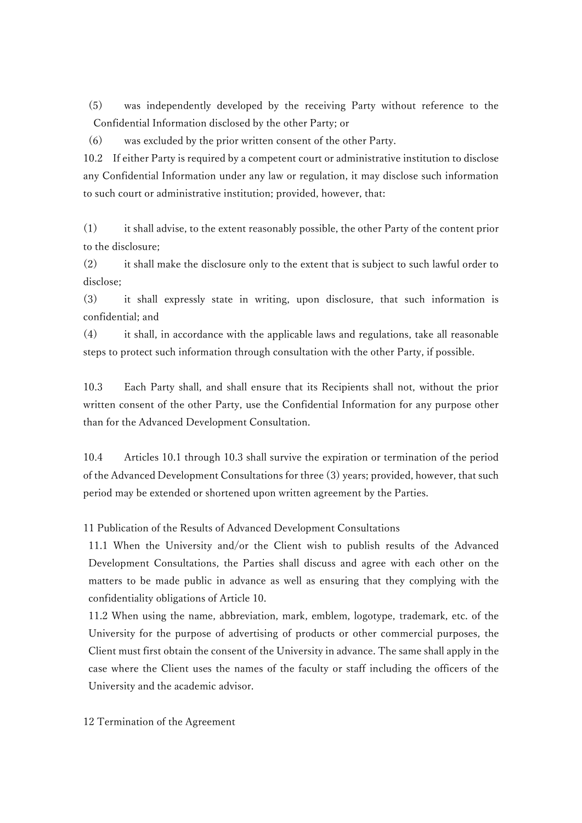(5) was independently developed by the receiving Party without reference to the Confidential Information disclosed by the other Party; or

(6) was excluded by the prior written consent of the other Party.

10.2 If either Party is required by a competent court or administrative institution to disclose any Confidential Information under any law or regulation, it may disclose such information to such court or administrative institution; provided, however, that:

(1) it shall advise, to the extent reasonably possible, the other Party of the content prior to the disclosure;

(2) it shall make the disclosure only to the extent that is subject to such lawful order to disclose;

(3) it shall expressly state in writing, upon disclosure, that such information is confidential; and

(4) it shall, in accordance with the applicable laws and regulations, take all reasonable steps to protect such information through consultation with the other Party, if possible.

10.3 Each Party shall, and shall ensure that its Recipients shall not, without the prior written consent of the other Party, use the Confidential Information for any purpose other than for the Advanced Development Consultation.

10.4 Articles 10.1 through 10.3 shall survive the expiration or termination of the period of the Advanced Development Consultations for three (3) years; provided, however, that such period may be extended or shortened upon written agreement by the Parties.

11 Publication of the Results of Advanced Development Consultations

11.1 When the University and/or the Client wish to publish results of the Advanced Development Consultations, the Parties shall discuss and agree with each other on the matters to be made public in advance as well as ensuring that they complying with the confidentiality obligations of Article 10.

11.2 When using the name, abbreviation, mark, emblem, logotype, trademark, etc. of the University for the purpose of advertising of products or other commercial purposes, the Client must first obtain the consent of the University in advance. The same shall apply in the case where the Client uses the names of the faculty or staff including the officers of the University and the academic advisor.

12 Termination of the Agreement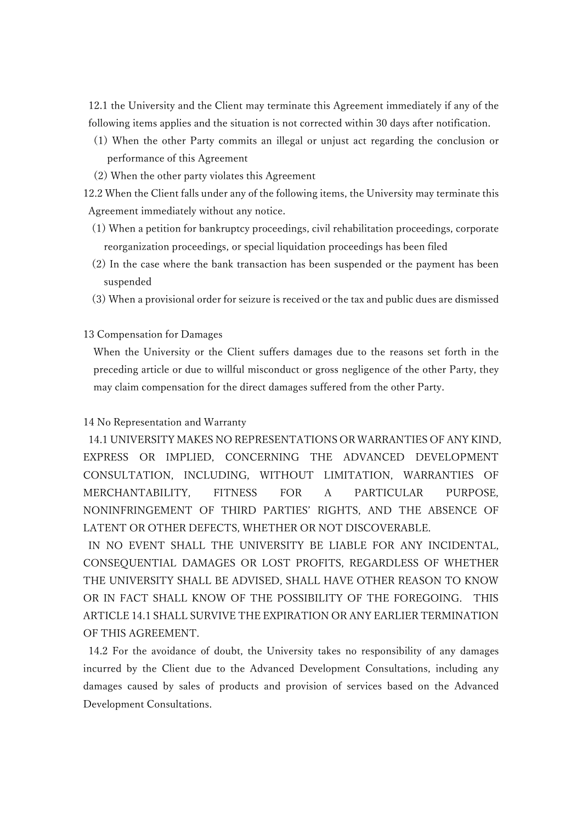12.1 the University and the Client may terminate this Agreement immediately if any of the following items applies and the situation is not corrected within 30 days after notification.

- (1) When the other Party commits an illegal or unjust act regarding the conclusion or performance of this Agreement
- (2) When the other party violates this Agreement

12.2 When the Client falls under any of the following items, the University may terminate this Agreement immediately without any notice.

- (1) When a petition for bankruptcy proceedings, civil rehabilitation proceedings, corporate reorganization proceedings, or special liquidation proceedings has been filed
- (2) In the case where the bank transaction has been suspended or the payment has been suspended
- (3) When a provisional order for seizure is received or the tax and public dues are dismissed

## 13 Compensation for Damages

When the University or the Client suffers damages due to the reasons set forth in the preceding article or due to willful misconduct or gross negligence of the other Party, they may claim compensation for the direct damages suffered from the other Party.

# 14 No Representation and Warranty

14.1 UNIVERSITY MAKES NO REPRESENTATIONS OR WARRANTIES OF ANY KIND, EXPRESS OR IMPLIED, CONCERNING THE ADVANCED DEVELOPMENT CONSULTATION, INCLUDING, WITHOUT LIMITATION, WARRANTIES OF MERCHANTABILITY, FITNESS FOR A PARTICULAR PURPOSE, NONINFRINGEMENT OF THIRD PARTIES' RIGHTS, AND THE ABSENCE OF LATENT OR OTHER DEFECTS, WHETHER OR NOT DISCOVERABLE.

IN NO EVENT SHALL THE UNIVERSITY BE LIABLE FOR ANY INCIDENTAL, CONSEQUENTIAL DAMAGES OR LOST PROFITS, REGARDLESS OF WHETHER THE UNIVERSITY SHALL BE ADVISED, SHALL HAVE OTHER REASON TO KNOW OR IN FACT SHALL KNOW OF THE POSSIBILITY OF THE FOREGOING. THIS ARTICLE 14.1 SHALL SURVIVE THE EXPIRATION OR ANY EARLIER TERMINATION OF THIS AGREEMENT.

14.2 For the avoidance of doubt, the University takes no responsibility of any damages incurred by the Client due to the Advanced Development Consultations, including any damages caused by sales of products and provision of services based on the Advanced Development Consultations.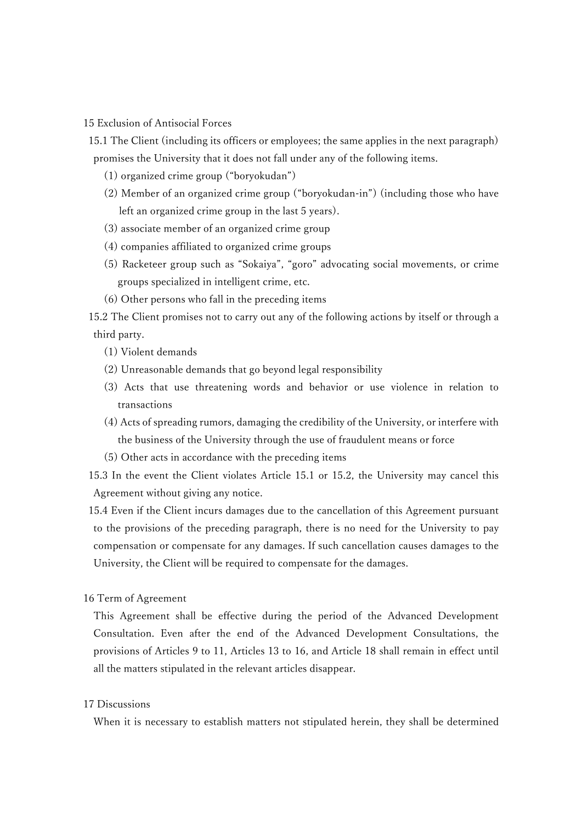15 Exclusion of Antisocial Forces

- 15.1 The Client (including its officers or employees; the same applies in the next paragraph) promises the University that it does not fall under any of the following items.
	- (1) organized crime group ("boryokudan")
	- (2) Member of an organized crime group ("boryokudan-in") (including those who have left an organized crime group in the last 5 years).
	- (3) associate member of an organized crime group
	- (4) companies affiliated to organized crime groups
	- (5) Racketeer group such as "Sokaiya", "goro" advocating social movements, or crime groups specialized in intelligent crime, etc.
	- (6) Other persons who fall in the preceding items

15.2 The Client promises not to carry out any of the following actions by itself or through a third party.

- (1) Violent demands
- (2) Unreasonable demands that go beyond legal responsibility
- (3) Acts that use threatening words and behavior or use violence in relation to transactions
- (4) Acts of spreading rumors, damaging the credibility of the University, or interfere with the business of the University through the use of fraudulent means or force
- (5) Other acts in accordance with the preceding items

15.3 In the event the Client violates Article 15.1 or 15.2, the University may cancel this Agreement without giving any notice.

15.4 Even if the Client incurs damages due to the cancellation of this Agreement pursuant to the provisions of the preceding paragraph, there is no need for the University to pay compensation or compensate for any damages. If such cancellation causes damages to the University, the Client will be required to compensate for the damages.

16 Term of Agreement

This Agreement shall be effective during the period of the Advanced Development Consultation. Even after the end of the Advanced Development Consultations, the provisions of Articles 9 to 11, Articles 13 to 16, and Article 18 shall remain in effect until all the matters stipulated in the relevant articles disappear.

## 17 Discussions

When it is necessary to establish matters not stipulated herein, they shall be determined